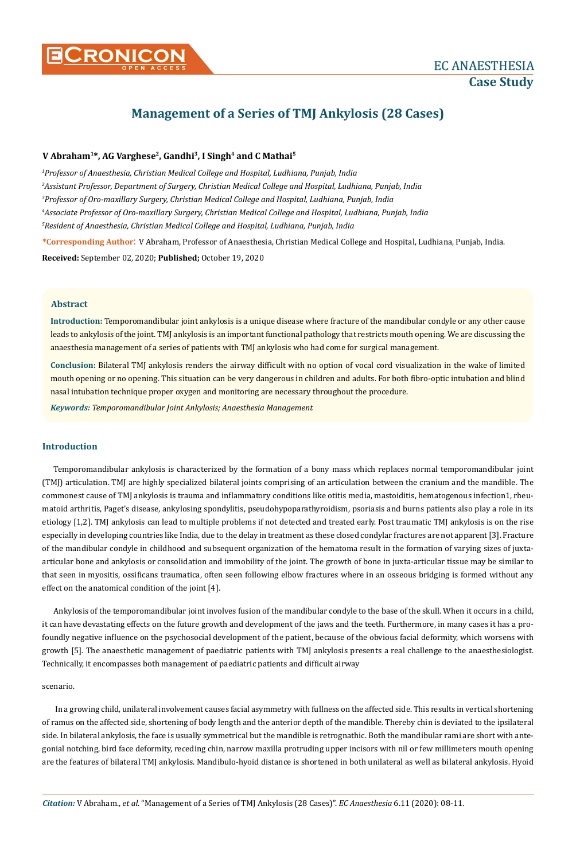

# **Management of a Series of TMJ Ankylosis (28 Cases)**

# **V Abraham1\*, AG Varghese2, Gandhi3, I Singh4 and C Mathai5**

 *Professor of Anaesthesia, Christian Medical College and Hospital, Ludhiana, Punjab, India Assistant Professor, Department of Surgery, Christian Medical College and Hospital, Ludhiana, Punjab, India Professor of Oro-maxillary Surgery, Christian Medical College and Hospital, Ludhiana, Punjab, India Associate Professor of Oro-maxillary Surgery, Christian Medical College and Hospital, Ludhiana, Punjab, India Resident of Anaesthesia, Christian Medical College and Hospital, Ludhiana, Punjab, India*

**\*Corresponding Author**: V Abraham, Professor of Anaesthesia, Christian Medical College and Hospital, Ludhiana, Punjab, India. **Received:** September 02, 2020; **Published;** October 19, 2020

## **Abstract**

**Introduction:** Temporomandibular joint ankylosis is a unique disease where fracture of the mandibular condyle or any other cause leads to ankylosis of the joint. TMJ ankylosis is an important functional pathology that restricts mouth opening. We are discussing the anaesthesia management of a series of patients with TMJ ankylosis who had come for surgical management.

**Conclusion:** Bilateral TMJ ankylosis renders the airway difficult with no option of vocal cord visualization in the wake of limited mouth opening or no opening. This situation can be very dangerous in children and adults. For both fibro-optic intubation and blind nasal intubation technique proper oxygen and monitoring are necessary throughout the procedure.

*Keywords: Temporomandibular Joint Ankylosis; Anaesthesia Management*

# **Introduction**

Temporomandibular ankylosis is characterized by the formation of a bony mass which replaces normal temporomandibular joint (TMJ) articulation. TMJ are highly specialized bilateral joints comprising of an articulation between the cranium and the mandible. The commonest cause of TMJ ankylosis is trauma and inflammatory conditions like otitis media, mastoiditis, hematogenous infection1, rheumatoid arthritis, Paget's disease, ankylosing spondylitis, pseudohypoparathyroidism, psoriasis and burns patients also play a role in its etiology [1,2]. TMJ ankylosis can lead to multiple problems if not detected and treated early. Post traumatic TMJ ankylosis is on the rise especially in developing countries like India, due to the delay in treatment as these closed condylar fractures are not apparent [3]. Fracture of the mandibular condyle in childhood and subsequent organization of the hematoma result in the formation of varying sizes of juxtaarticular bone and ankylosis or consolidation and immobility of the joint. The growth of bone in juxta-articular tissue may be similar to that seen in myositis, ossificans traumatica, often seen following elbow fractures where in an osseous bridging is formed without any effect on the anatomical condition of the joint [4].

Ankylosis of the temporomandibular joint involves fusion of the mandibular condyle to the base of the skull. When it occurs in a child, it can have devastating effects on the future growth and development of the jaws and the teeth. Furthermore, in many cases it has a profoundly negative influence on the psychosocial development of the patient, because of the obvious facial deformity, which worsens with growth [5]. The anaesthetic management of paediatric patients with TMJ ankylosis presents a real challenge to the anaesthesiologist. Technically, it encompasses both management of paediatric patients and difficult airway

## scenario.

 In a growing child, unilateral involvement causes facial asymmetry with fullness on the affected side. This results in vertical shortening of ramus on the affected side, shortening of body length and the anterior depth of the mandible. Thereby chin is deviated to the ipsilateral side. In bilateral ankylosis, the face is usually symmetrical but the mandible is retrognathic. Both the mandibular rami are short with antegonial notching, bird face deformity, receding chin, narrow maxilla protruding upper incisors with nil or few millimeters mouth opening are the features of bilateral TMJ ankylosis. Mandibulo-hyoid distance is shortened in both unilateral as well as bilateral ankylosis. Hyoid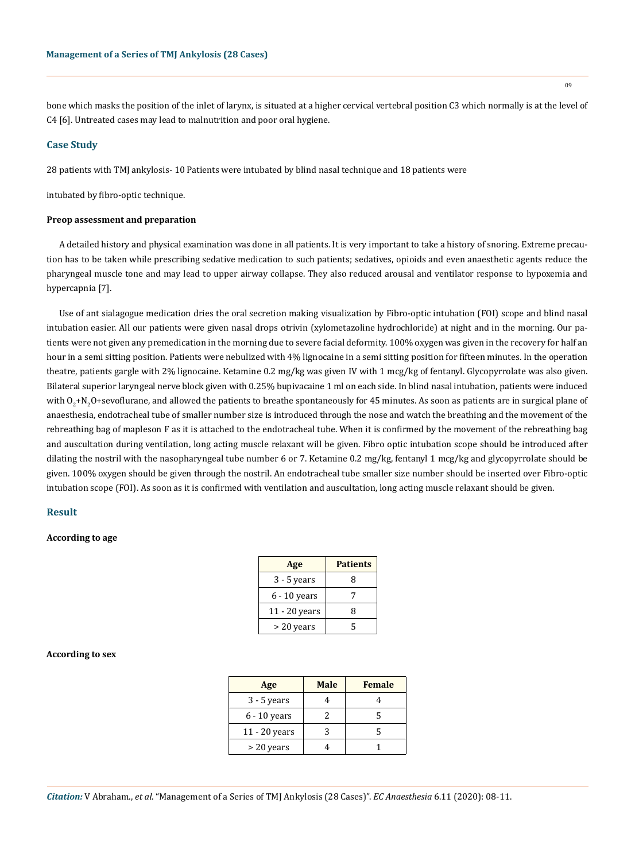bone which masks the position of the inlet of larynx, is situated at a higher cervical vertebral position C3 which normally is at the level of C4 [6]. Untreated cases may lead to malnutrition and poor oral hygiene.

#### **Case Study**

28 patients with TMJ ankylosis- 10 Patients were intubated by blind nasal technique and 18 patients were

intubated by fibro-optic technique.

#### **Preop assessment and preparation**

A detailed history and physical examination was done in all patients. It is very important to take a history of snoring. Extreme precaution has to be taken while prescribing sedative medication to such patients; sedatives, opioids and even anaesthetic agents reduce the pharyngeal muscle tone and may lead to upper airway collapse. They also reduced arousal and ventilator response to hypoxemia and hypercapnia [7].

Use of ant sialagogue medication dries the oral secretion making visualization by Fibro-optic intubation (FOI) scope and blind nasal intubation easier. All our patients were given nasal drops otrivin (xylometazoline hydrochloride) at night and in the morning. Our patients were not given any premedication in the morning due to severe facial deformity. 100% oxygen was given in the recovery for half an hour in a semi sitting position. Patients were nebulized with 4% lignocaine in a semi sitting position for fifteen minutes. In the operation theatre, patients gargle with 2% lignocaine. Ketamine 0.2 mg/kg was given IV with 1 mcg/kg of fentanyl. Glycopyrrolate was also given. Bilateral superior laryngeal nerve block given with 0.25% bupivacaine 1 ml on each side. In blind nasal intubation, patients were induced with  $\rm O_2$ +N<sub>2</sub>O+sevoflurane, and allowed the patients to breathe spontaneously for 45 minutes. As soon as patients are in surgical plane of anaesthesia, endotracheal tube of smaller number size is introduced through the nose and watch the breathing and the movement of the rebreathing bag of mapleson F as it is attached to the endotracheal tube. When it is confirmed by the movement of the rebreathing bag and auscultation during ventilation, long acting muscle relaxant will be given. Fibro optic intubation scope should be introduced after dilating the nostril with the nasopharyngeal tube number 6 or 7. Ketamine 0.2 mg/kg, fentanyl 1 mcg/kg and glycopyrrolate should be given. 100% oxygen should be given through the nostril. An endotracheal tube smaller size number should be inserted over Fibro-optic intubation scope (FOI). As soon as it is confirmed with ventilation and auscultation, long acting muscle relaxant should be given.

# **Result**

# **According to age**

| Age             | <b>Patients</b> |
|-----------------|-----------------|
| $3 - 5$ years   | 8               |
| $6 - 10$ years  |                 |
| $11 - 20$ years | 8               |
| > 20 years      | ς               |

#### **According to sex**

| Age            | <b>Male</b> | <b>Female</b> |
|----------------|-------------|---------------|
| $3 - 5$ years  |             |               |
| $6 - 10$ years |             |               |
| 11 - 20 years  |             |               |
| $>$ 20 years   |             |               |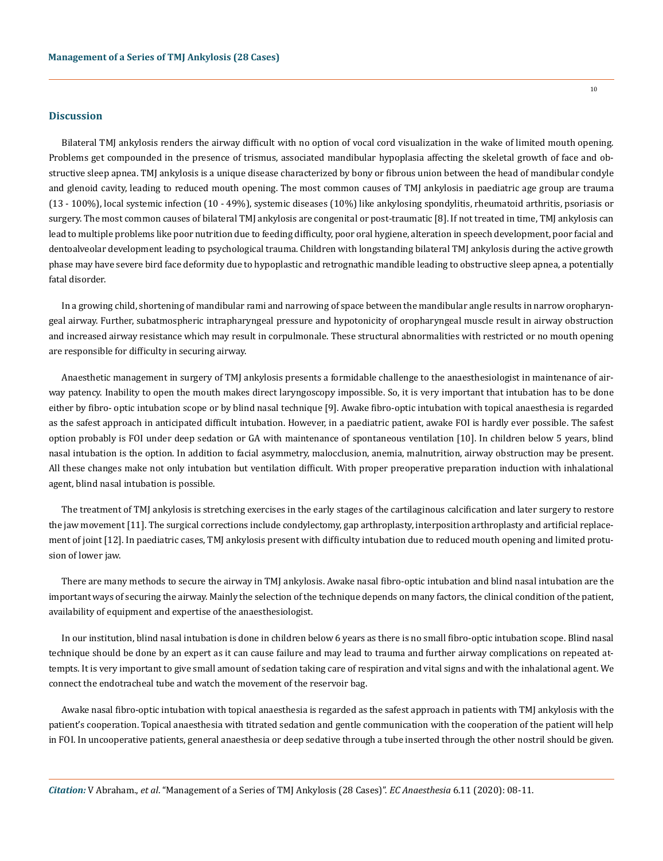#### **Discussion**

Bilateral TMJ ankylosis renders the airway difficult with no option of vocal cord visualization in the wake of limited mouth opening. Problems get compounded in the presence of trismus, associated mandibular hypoplasia affecting the skeletal growth of face and obstructive sleep apnea. TMJ ankylosis is a unique disease characterized by bony or fibrous union between the head of mandibular condyle and glenoid cavity, leading to reduced mouth opening. The most common causes of TMJ ankylosis in paediatric age group are trauma (13 - 100%), local systemic infection (10 - 49%), systemic diseases (10%) like ankylosing spondylitis, rheumatoid arthritis, psoriasis or surgery. The most common causes of bilateral TMJ ankylosis are congenital or post-traumatic [8]. If not treated in time, TMJ ankylosis can lead to multiple problems like poor nutrition due to feeding difficulty, poor oral hygiene, alteration in speech development, poor facial and dentoalveolar development leading to psychological trauma. Children with longstanding bilateral TMJ ankylosis during the active growth phase may have severe bird face deformity due to hypoplastic and retrognathic mandible leading to obstructive sleep apnea, a potentially fatal disorder.

In a growing child, shortening of mandibular rami and narrowing of space between the mandibular angle results in narrow oropharyngeal airway. Further, subatmospheric intrapharyngeal pressure and hypotonicity of oropharyngeal muscle result in airway obstruction and increased airway resistance which may result in corpulmonale. These structural abnormalities with restricted or no mouth opening are responsible for difficulty in securing airway.

Anaesthetic management in surgery of TMJ ankylosis presents a formidable challenge to the anaesthesiologist in maintenance of airway patency. Inability to open the mouth makes direct laryngoscopy impossible. So, it is very important that intubation has to be done either by fibro- optic intubation scope or by blind nasal technique [9]. Awake fibro-optic intubation with topical anaesthesia is regarded as the safest approach in anticipated difficult intubation. However, in a paediatric patient, awake FOI is hardly ever possible. The safest option probably is FOI under deep sedation or GA with maintenance of spontaneous ventilation [10]. In children below 5 years, blind nasal intubation is the option. In addition to facial asymmetry, malocclusion, anemia, malnutrition, airway obstruction may be present. All these changes make not only intubation but ventilation difficult. With proper preoperative preparation induction with inhalational agent, blind nasal intubation is possible.

The treatment of TMJ ankylosis is stretching exercises in the early stages of the cartilaginous calcification and later surgery to restore the jaw movement [11]. The surgical corrections include condylectomy, gap arthroplasty, interposition arthroplasty and artificial replacement of joint [12]. In paediatric cases, TMJ ankylosis present with difficulty intubation due to reduced mouth opening and limited protusion of lower jaw.

There are many methods to secure the airway in TMJ ankylosis. Awake nasal fibro-optic intubation and blind nasal intubation are the important ways of securing the airway. Mainly the selection of the technique depends on many factors, the clinical condition of the patient, availability of equipment and expertise of the anaesthesiologist.

In our institution, blind nasal intubation is done in children below 6 years as there is no small fibro-optic intubation scope. Blind nasal technique should be done by an expert as it can cause failure and may lead to trauma and further airway complications on repeated attempts. It is very important to give small amount of sedation taking care of respiration and vital signs and with the inhalational agent. We connect the endotracheal tube and watch the movement of the reservoir bag.

Awake nasal fibro-optic intubation with topical anaesthesia is regarded as the safest approach in patients with TMJ ankylosis with the patient's cooperation. Topical anaesthesia with titrated sedation and gentle communication with the cooperation of the patient will help in FOI. In uncooperative patients, general anaesthesia or deep sedative through a tube inserted through the other nostril should be given.